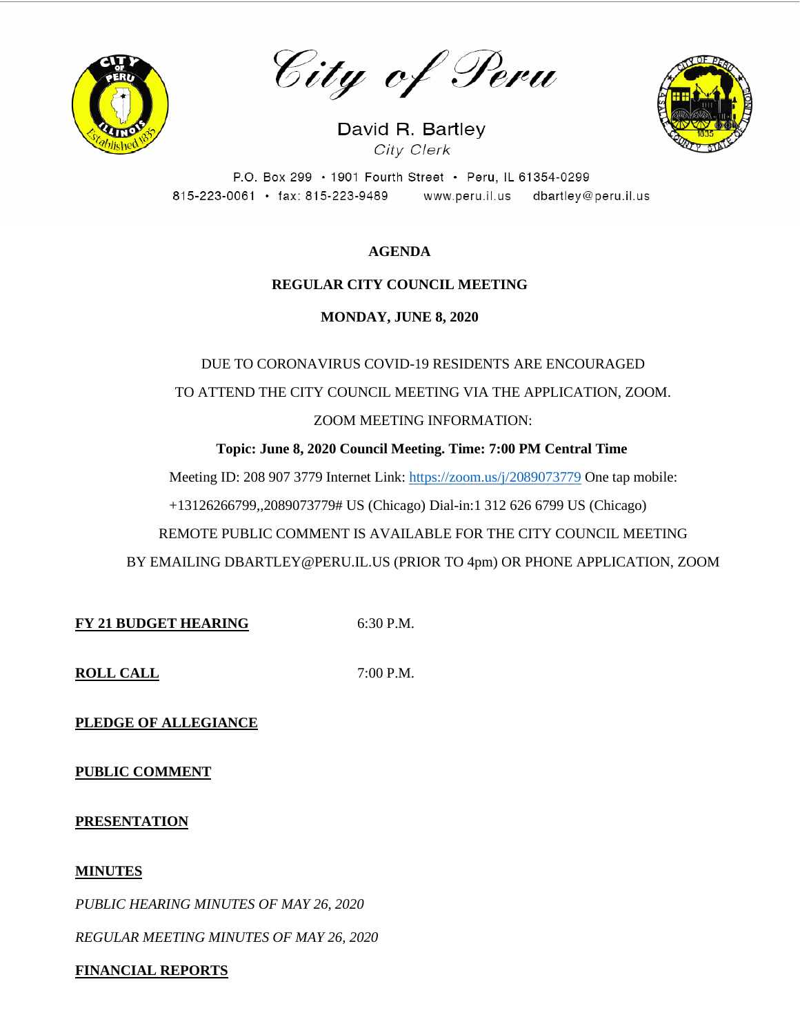

City of Peru

David R. Bartley City Clerk



P.O. Box 299 · 1901 Fourth Street · Peru, IL 61354-0299 815-223-0061 · fax: 815-223-9489 www.peru.il.us dbartley@peru.il.us

# **AGENDA**

# **REGULAR CITY COUNCIL MEETING**

**MONDAY, JUNE 8, 2020**

DUE TO CORONAVIRUS COVID-19 RESIDENTS ARE ENCOURAGED TO ATTEND THE CITY COUNCIL MEETING VIA THE APPLICATION, ZOOM. ZOOM MEETING INFORMATION:

**Topic: June 8, 2020 Council Meeting. Time: 7:00 PM Central Time**

Meeting ID: 208 907 3779 Internet Link: <https://zoom.us/j/2089073779> One tap mobile:

+13126266799,,2089073779# US (Chicago) Dial-in:1 312 626 6799 US (Chicago)

REMOTE PUBLIC COMMENT IS AVAILABLE FOR THE CITY COUNCIL MEETING

BY EMAILING DBARTLEY@PERU.IL.US (PRIOR TO 4pm) OR PHONE APPLICATION, ZOOM

**FY 21 BUDGET HEARING** 6:30 P.M.

**ROLL CALL** 7:00 P.M.

**PLEDGE OF ALLEGIANCE**

**PUBLIC COMMENT**

**PRESENTATION**

## **MINUTES**

*PUBLIC HEARING MINUTES OF MAY 26, 2020*

*REGULAR MEETING MINUTES OF MAY 26, 2020*

# **FINANCIAL REPORTS**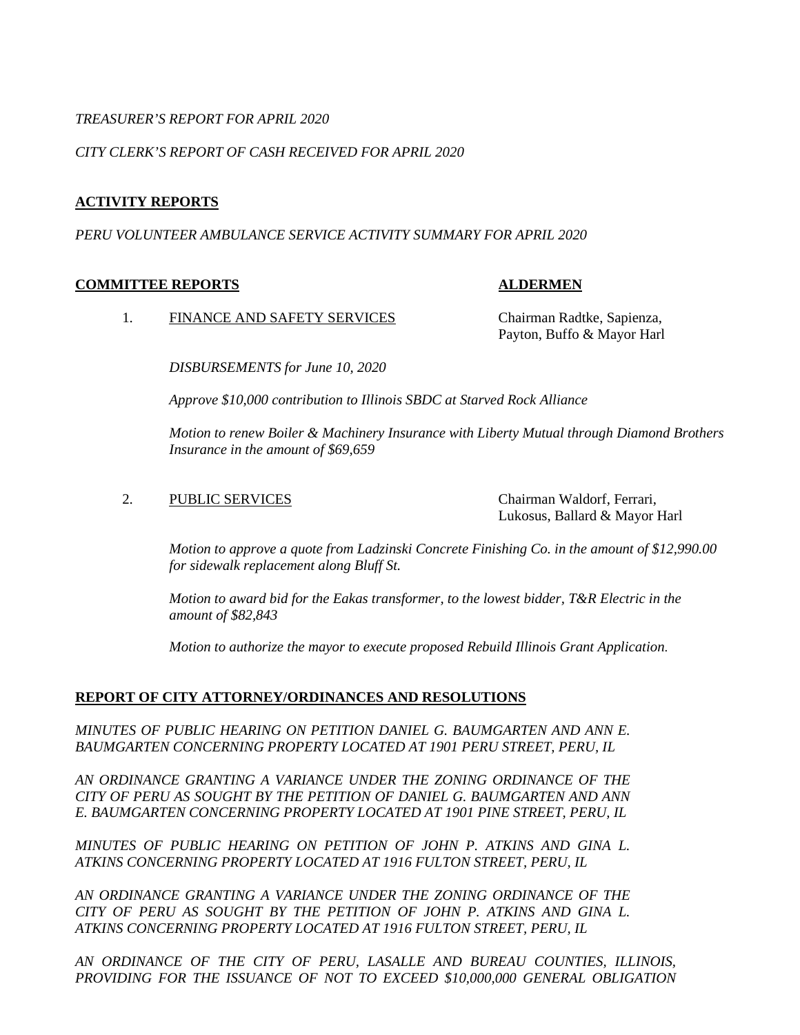## *TREASURER'S REPORT FOR APRIL 2020*

## *CITY CLERK'S REPORT OF CASH RECEIVED FOR APRIL 2020*

## **ACTIVITY REPORTS**

## *PERU VOLUNTEER AMBULANCE SERVICE ACTIVITY SUMMARY FOR APRIL 2020*

## **COMMITTEE REPORTS ALDERMEN**

1. FINANCE AND SAFETY SERVICES Chairman Radtke, Sapienza,

Payton, Buffo & Mayor Harl

*DISBURSEMENTS for June 10, 2020*

*Approve \$10,000 contribution to Illinois SBDC at Starved Rock Alliance*

*Motion to renew Boiler & Machinery Insurance with Liberty Mutual through Diamond Brothers Insurance in the amount of \$69,659* 

## 2. PUBLIC SERVICES Chairman Waldorf, Ferrari,

Lukosus, Ballard & Mayor Harl

*Motion to approve a quote from Ladzinski Concrete Finishing Co. in the amount of \$12,990.00 for sidewalk replacement along Bluff St.*

*Motion to award bid for the Eakas transformer, to the lowest bidder, T&R Electric in the amount of \$82,843*

*Motion to authorize the mayor to execute proposed Rebuild Illinois Grant Application*.

## **REPORT OF CITY ATTORNEY/ORDINANCES AND RESOLUTIONS**

*MINUTES OF PUBLIC HEARING ON PETITION DANIEL G. BAUMGARTEN AND ANN E. BAUMGARTEN CONCERNING PROPERTY LOCATED AT 1901 PERU STREET, PERU, IL* 

*AN ORDINANCE GRANTING A VARIANCE UNDER THE ZONING ORDINANCE OF THE CITY OF PERU AS SOUGHT BY THE PETITION OF DANIEL G. BAUMGARTEN AND ANN E. BAUMGARTEN CONCERNING PROPERTY LOCATED AT 1901 PINE STREET, PERU, IL* 

*MINUTES OF PUBLIC HEARING ON PETITION OF JOHN P. ATKINS AND GINA L. ATKINS CONCERNING PROPERTY LOCATED AT 1916 FULTON STREET, PERU, IL*

*AN ORDINANCE GRANTING A VARIANCE UNDER THE ZONING ORDINANCE OF THE CITY OF PERU AS SOUGHT BY THE PETITION OF JOHN P. ATKINS AND GINA L. ATKINS CONCERNING PROPERTY LOCATED AT 1916 FULTON STREET, PERU, IL* 

*AN ORDINANCE OF THE CITY OF PERU, LASALLE AND BUREAU COUNTIES, ILLINOIS, PROVIDING FOR THE ISSUANCE OF NOT TO EXCEED \$10,000,000 GENERAL OBLIGATION*